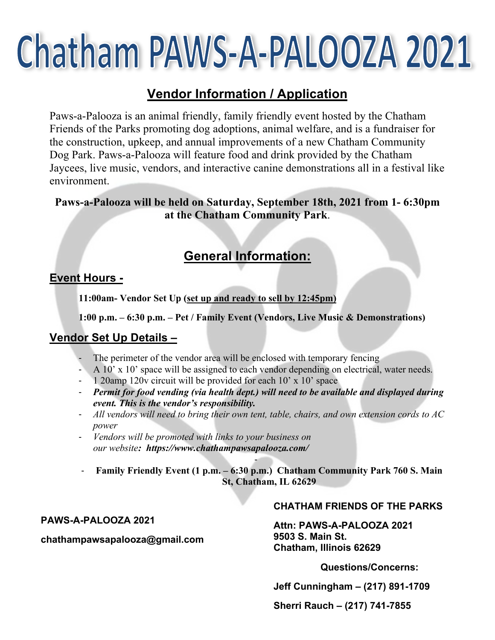# Chatham PAWS-A-PALOOZA 2021

## **Vendor Information / Application**

Paws-a-Palooza is an animal friendly, family friendly event hosted by the Chatham Friends of the Parks promoting dog adoptions, animal welfare, and is a fundraiser for the construction, upkeep, and annual improvements of a new Chatham Community Dog Park. Paws-a-Palooza will feature food and drink provided by the Chatham Jaycees, live music, vendors, and interactive canine demonstrations all in a festival like environment.

#### **Paws-a-Palooza will be held on Saturday, September 18th, 2021 from 1- 6:30pm at the Chatham Community Park**.

## **General Information:**

#### **Event Hours -**

**11:00am- Vendor Set Up (set up and ready to sell by 12:45pm)**

**1:00 p.m. – 6:30 p.m. – Pet / Family Event (Vendors, Live Music & Demonstrations)**

#### **Vendor Set Up Details –**

- The perimeter of the vendor area will be enclosed with temporary fencing
- A 10' x 10' space will be assigned to each vendor depending on electrical, water needs.
- 1 20amp 120v circuit will be provided for each 10' x 10' space
- *Permit for food vending (via health dept.) will need to be available and displayed during event. This is the vendor's responsibility.*
- *All vendors will need to bring their own tent, table, chairs, and own extension cords to AC power*
- *Vendors will be promoted with links to your business on our website: https://www.chathampawsapalooza.com/*
- - **Family Friendly Event (1 p.m. – 6:30 p.m.) Chatham Community Park 760 S. Main St, Chatham, IL 62629**

**PAWS-A-PALOOZA 2021**

#### **chathampawsapalooza@gmail.com**

**CHATHAM FRIENDS OF THE PARKS**

**Attn: PAWS-A-PALOOZA 2021 9503 S. Main St. Chatham, Illinois 62629**

**Questions/Concerns:**

**Jeff Cunningham – (217) 891-1709**

**Sherri Rauch – (217) 741-7855**